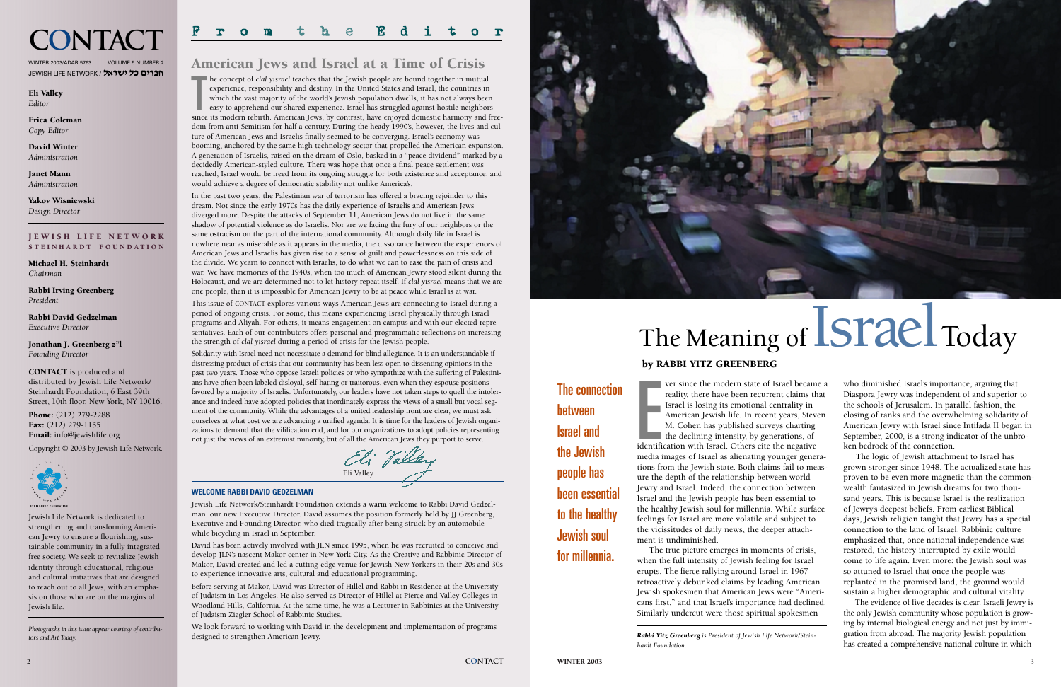

## The Meaning of Israel Today

## by RABBI YITZ GREENBERG

The connection between Israel and the Jewish people has been essential to the healthy Jewish soul for millennia.

**Expanding Links** ver since the modern state of Israel became a reality, there have been recurrent claims that Israel is losing its emotional centrality in American Jewish life. In recent years, Steven M. Cohen has published surveys charting the declining intensity, by generations, of identification with Israel. Others cite the negative media images of Israel as alienating younger generations from the Jewish state. Both claims fail to measure the depth of the relationship between world Jewry and Israel. Indeed, the connection between Israel and the Jewish people has been essential to the healthy Jewish soul for millennia. While surface feelings for Israel are more volatile and subject to the vicissitudes of daily news, the deeper attachment is undiminished.

The true picture emerges in moments of crisis, when the full intensity of Jewish feeling for Israel erupts. The fierce rallying around Israel in 1967 retroactively debunked claims by leading American Jewish spokesmen that American Jews were "Americans first," and that Israel's importance had declined. Similarly undercut were those spiritual spokesmen

*Rabbi Yitz Greenberg is President of Jewish Life Network/Steinhardt Foundation.*

who diminished Israel's importance, arguing that Diaspora Jewry was independent of and superior to the schools of Jerusalem. In parallel fashion, the closing of ranks and the overwhelming solidarity of American Jewry with Israel since Intifada II began in September, 2000, is a strong indicator of the unbroken bedrock of the connection.

The logic of Jewish attachment to Israel has grown stronger since 1948. The actualized state has proven to be even more magnetic than the commonwealth fantasized in Jewish dreams for two thousand years. This is because Israel is the realization of Jewry's deepest beliefs. From earliest Biblical days, Jewish religion taught that Jewry has a special connection to the land of Israel. Rabbinic culture emphasized that, once national independence was restored, the history interrupted by exile would come to life again. Even more: the Jewish soul was so attuned to Israel that once the people was replanted in the promised land, the ground would sustain a higher demographic and cultural vitality.

The evidence of five decades is clear. Israeli Jewry is the only Jewish community whose population is growing by internal biological energy and not just by immigration from abroad. The majority Jewish population has created a comprehensive national culture in which